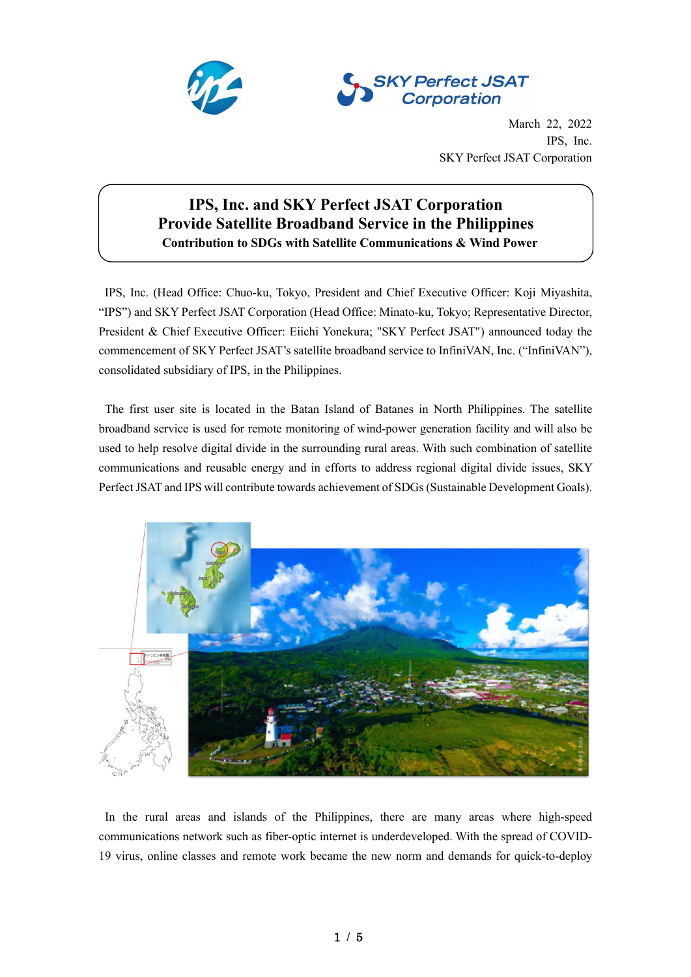



March 22, 2022 IPS, Inc. SKY Perfect JSAT Corporation

# **IPS, Inc. and SKY Perfect JSAT Corporation Provide Satellite Broadband Service in the Philippines Contribution to SDGs with Satellite Communications & Wind Power**

IPS, Inc. (Head Office: Chuo-ku, Tokyo, President and Chief Executive Officer: Koji Miyashita, "IPS") and SKY Perfect JSAT Corporation (Head Office: Minato-ku, Tokyo; Representative Director, President & Chief Executive Officer: Eiichi Yonekura; "SKY Perfect JSAT") announced today the commencement of SKY Perfect JSAT's satellite broadband service to InfiniVAN, Inc. ("InfiniVAN"), consolidated subsidiary of IPS, in the Philippines.

The first user site is located in the Batan Island of Batanes in North Philippines. The satellite broadband service is used for remote monitoring of wind-power generation facility and will also be used to help resolve digital divide in the surrounding rural areas. With such combination of satellite communications and reusable energy and in efforts to address regional digital divide issues, SKY Perfect JSAT and IPS will contribute towards achievement of SDGs(Sustainable Development Goals).



In the rural areas and islands of the Philippines, there are many areas where high-speed communications network such as fiber-optic internet is underdeveloped. With the spread of COVID-19 virus, online classes and remote work became the new norm and demands for quick-to-deploy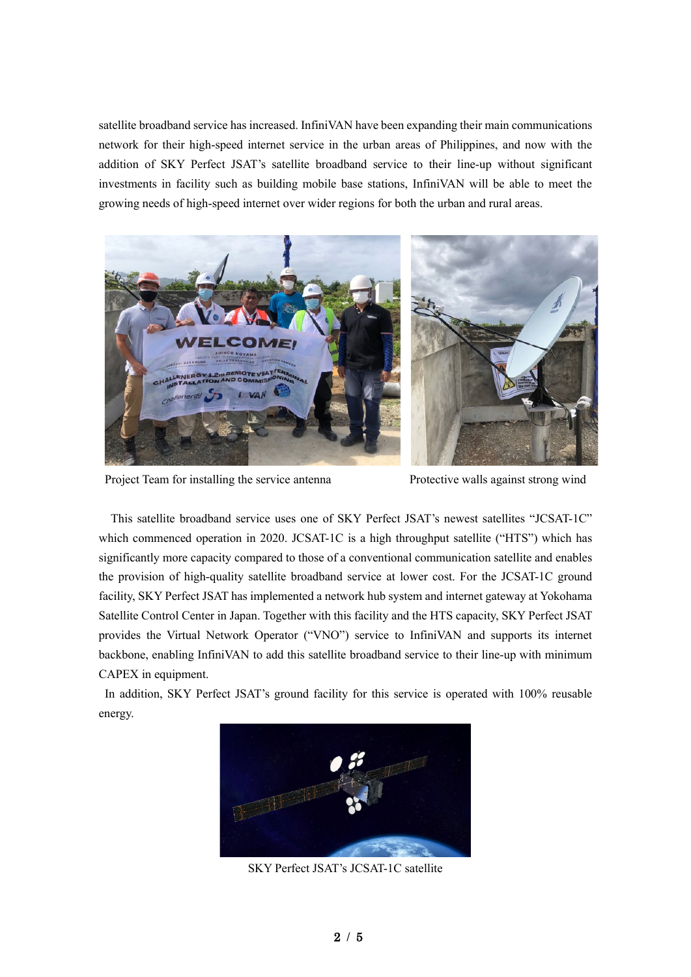satellite broadband service has increased. InfiniVAN have been expanding their main communications network for their high-speed internet service in the urban areas of Philippines, and now with the addition of SKY Perfect JSAT's satellite broadband service to their line-up without significant investments in facility such as building mobile base stations, InfiniVAN will be able to meet the growing needs of high-speed internet over wider regions for both the urban and rural areas.



Project Team for installing the service antenna Protective walls against strong wind

This satellite broadband service uses one of SKY Perfect JSAT's newest satellites "JCSAT-1C" which commenced operation in 2020. JCSAT-1C is a high throughput satellite ("HTS") which has significantly more capacity compared to those of a conventional communication satellite and enables the provision of high-quality satellite broadband service at lower cost. For the JCSAT-1C ground facility, SKY Perfect JSAT has implemented a network hub system and internet gateway at Yokohama Satellite Control Center in Japan. Together with this facility and the HTS capacity, SKY Perfect JSAT provides the Virtual Network Operator ("VNO") service to InfiniVAN and supports its internet backbone, enabling InfiniVAN to add this satellite broadband service to their line-up with minimum CAPEX in equipment.

In addition, SKY Perfect JSAT's ground facility for this service is operated with 100% reusable energy.



SKY Perfect JSAT's JCSAT-1C satellite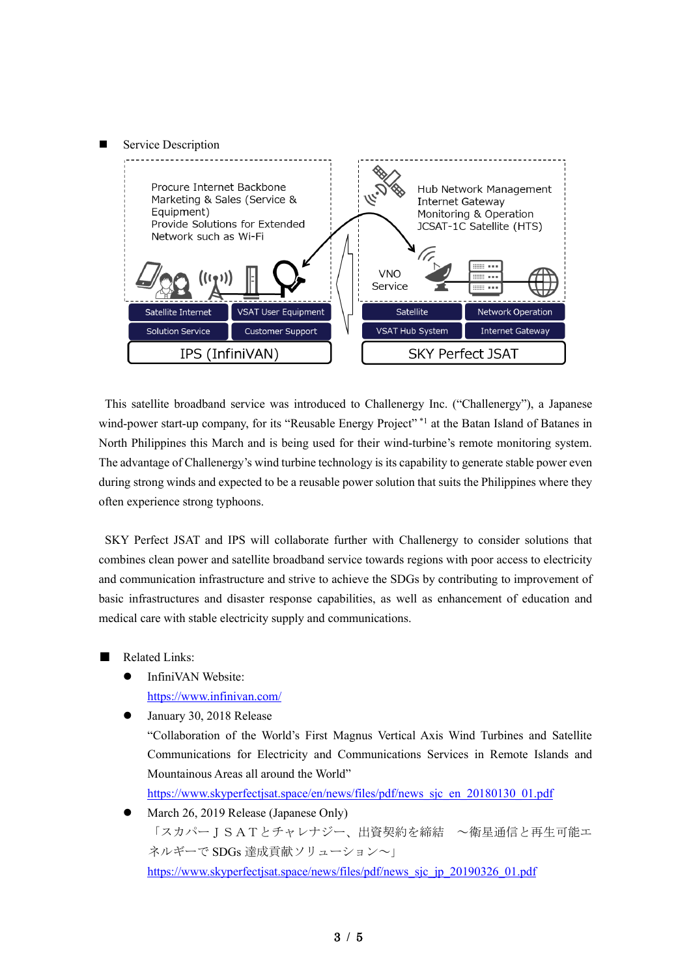# Service Description



This satellite broadband service was introduced to Challenergy Inc. ("Challenergy"), a Japanese wind-power start-up company, for its "Reusable Energy Project"<sup>\*1</sup> at the Batan Island of Batanes in North Philippines this March and is being used for their wind-turbine's remote monitoring system. The advantage of Challenergy's wind turbine technology is its capability to generate stable power even during strong winds and expected to be a reusable power solution that suits the Philippines where they often experience strong typhoons.

SKY Perfect JSAT and IPS will collaborate further with Challenergy to consider solutions that combines clean power and satellite broadband service towards regions with poor access to electricity and communication infrastructure and strive to achieve the SDGs by contributing to improvement of basic infrastructures and disaster response capabilities, as well as enhancement of education and medical care with stable electricity supply and communications.

- **Related Links:** 
	- InfiniVAN Website: https://www.infinivan.com/
	- January 30, 2018 Release "Collaboration of the World's First Magnus Vertical Axis Wind Turbines and Satellite Communications for Electricity and Communications Services in Remote Islands and Mountainous Areas all around the World"

[https://www.skyperfectjsat.space/en/news/files/pdf/news\\_sjc\\_en\\_20180130\\_01.pdf](https://www.skyperfectjsat.space/en/news/files/pdf/news_sjc_en_20180130_01.pdf)

 March 26, 2019 Release (Japanese Only) 「スカパーJSATとチャレナジー、出資契約を締結 ~衛星通信と再生可能エ ネルギーで SDGs 達成貢献ソリューション~」 https://www.skyperfectisat.space/news/files/pdf/news\_sic\_ip\_20190326\_01.pdf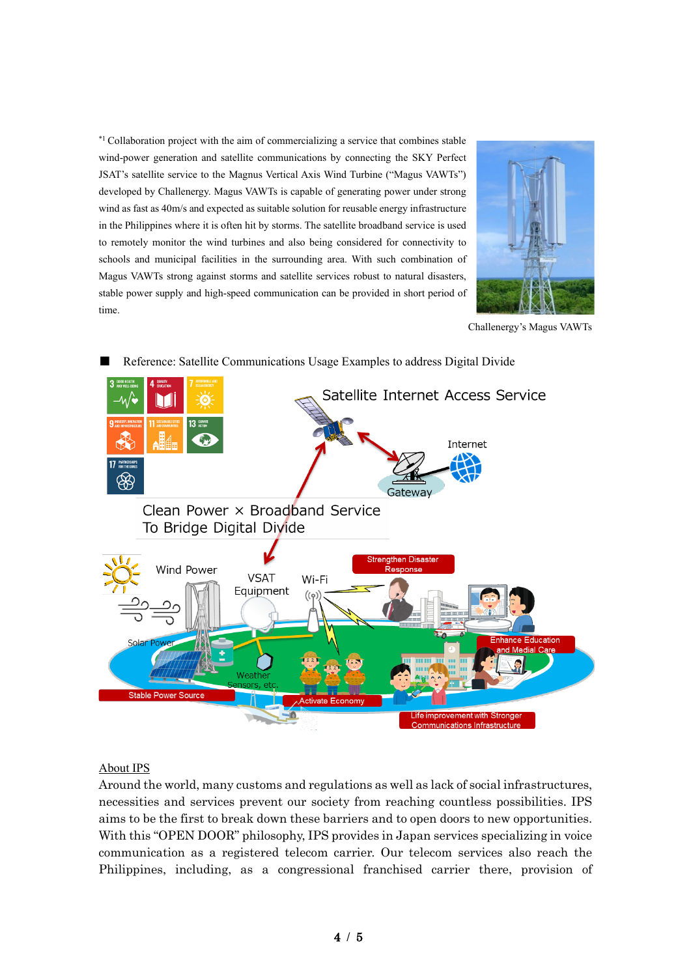\*<sup>1</sup> Collaboration project with the aim of commercializing a service that combines stable wind-power generation and satellite communications by connecting the SKY Perfect JSAT's satellite service to the Magnus Vertical Axis Wind Turbine ("Magus VAWTs") developed by Challenergy. Magus VAWTs is capable of generating power under strong wind as fast as 40m/s and expected as suitable solution for reusable energy infrastructure in the Philippines where it is often hit by storms. The satellite broadband service is used to remotely monitor the wind turbines and also being considered for connectivity to schools and municipal facilities in the surrounding area. With such combination of Magus VAWTs strong against storms and satellite services robust to natural disasters, stable power supply and high-speed communication can be provided in short period of time.



Challenergy's Magus VAWTs



# Reference: Satellite Communications Usage Examples to address Digital Divide

# About IPS

Around the world, many customs and regulations as well as lack of social infrastructures, necessities and services prevent our society from reaching countless possibilities. IPS aims to be the first to break down these barriers and to open doors to new opportunities. With this "OPEN DOOR" philosophy, IPS provides in Japan services specializing in voice communication as a registered telecom carrier. Our telecom services also reach the Philippines, including, as a congressional franchised carrier there, provision of